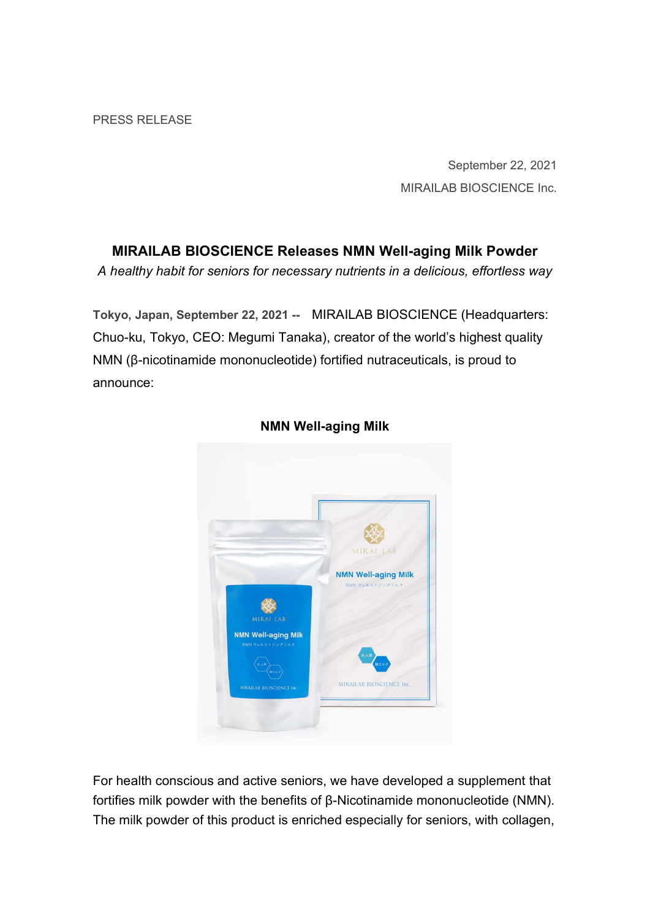September 22, 2021 MIRAILAB BIOSCIENCE Inc.

# MIRAILAB BIOSCIENCE Releases NMN Well-aging Milk Powder

A healthy habit for seniors for necessary nutrients in a delicious, effortless way

Tokyo, Japan, September 22, 2021 -- MIRAILAB BIOSCIENCE (Headquarters: Chuo-ku, Tokyo, CEO: Megumi Tanaka), creator of the world's highest quality NMN (β-nicotinamide mononucleotide) fortified nutraceuticals, is proud to announce:



### NMN Well-aging Milk

For health conscious and active seniors, we have developed a supplement that fortifies milk powder with the benefits of β-Nicotinamide mononucleotide (NMN). The milk powder of this product is enriched especially for seniors, with collagen,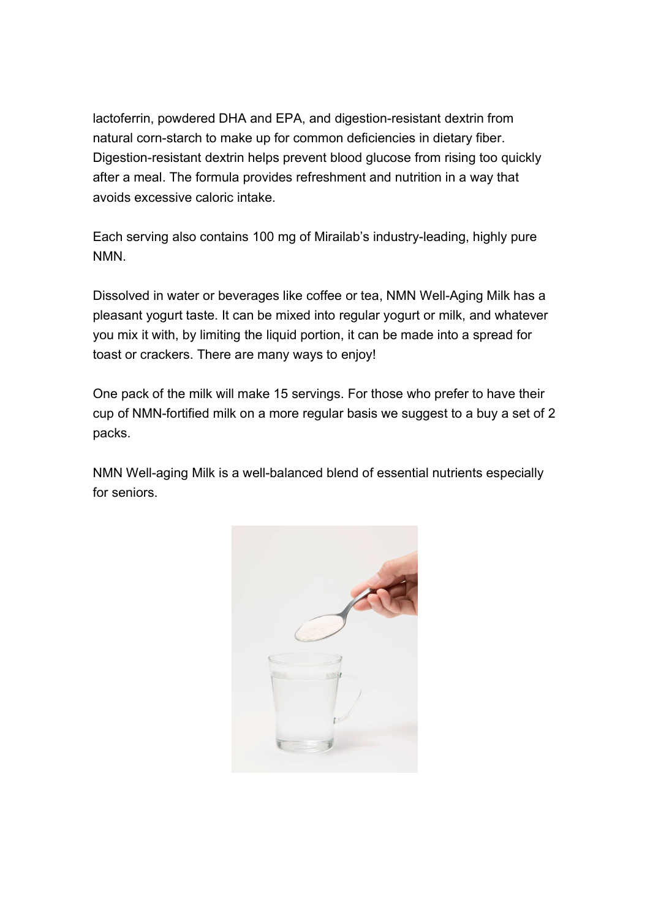lactoferrin, powdered DHA and EPA, and digestion-resistant dextrin from natural corn-starch to make up for common deficiencies in dietary fiber. Digestion-resistant dextrin helps prevent blood glucose from rising too quickly after a meal. The formula provides refreshment and nutrition in a way that avoids excessive caloric intake.

Each serving also contains 100 mg of Mirailab's industry-leading, highly pure NMN.

Dissolved in water or beverages like coffee or tea, NMN Well-Aging Milk has a pleasant yogurt taste. It can be mixed into regular yogurt or milk, and whatever you mix it with, by limiting the liquid portion, it can be made into a spread for toast or crackers. There are many ways to enjoy!

One pack of the milk will make 15 servings. For those who prefer to have their cup of NMN-fortified milk on a more regular basis we suggest to a buy a set of 2 packs.

NMN Well-aging Milk is a well-balanced blend of essential nutrients especially for seniors.

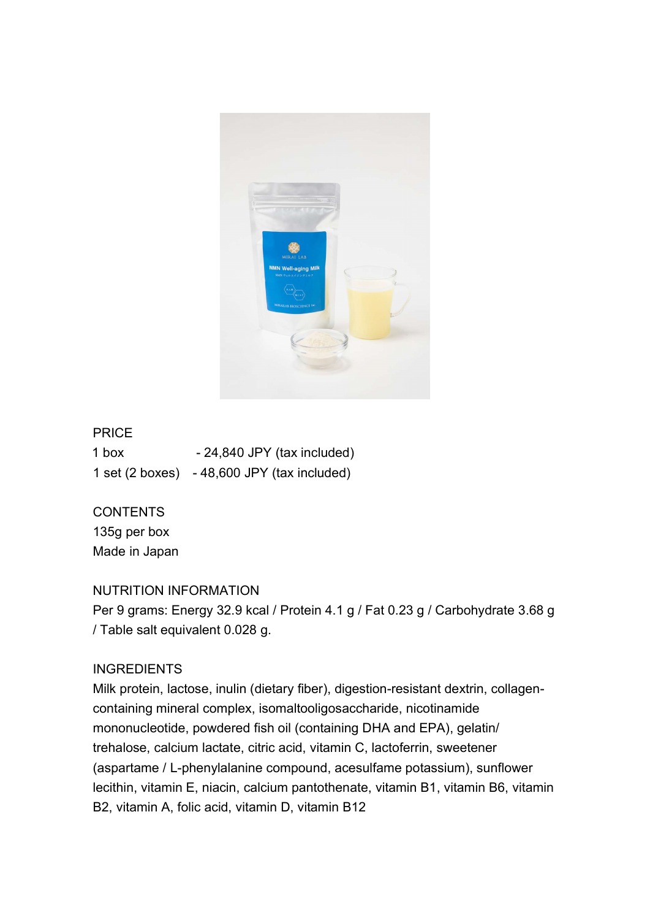

### PRICE

1 box - 24,840 JPY (tax included) 1 set (2 boxes) - 48,600 JPY (tax included)

### CONTENTS

135g per box Made in Japan

### NUTRITION INFORMATION

Per 9 grams: Energy 32.9 kcal / Protein 4.1 g / Fat 0.23 g / Carbohydrate 3.68 g / Table salt equivalent 0.028 g.

# **INGREDIENTS**

Milk protein, lactose, inulin (dietary fiber), digestion-resistant dextrin, collagencontaining mineral complex, isomaltooligosaccharide, nicotinamide mononucleotide, powdered fish oil (containing DHA and EPA), gelatin/ trehalose, calcium lactate, citric acid, vitamin C, lactoferrin, sweetener (aspartame / L-phenylalanine compound, acesulfame potassium), sunflower lecithin, vitamin E, niacin, calcium pantothenate, vitamin B1, vitamin B6, vitamin B2, vitamin A, folic acid, vitamin D, vitamin B12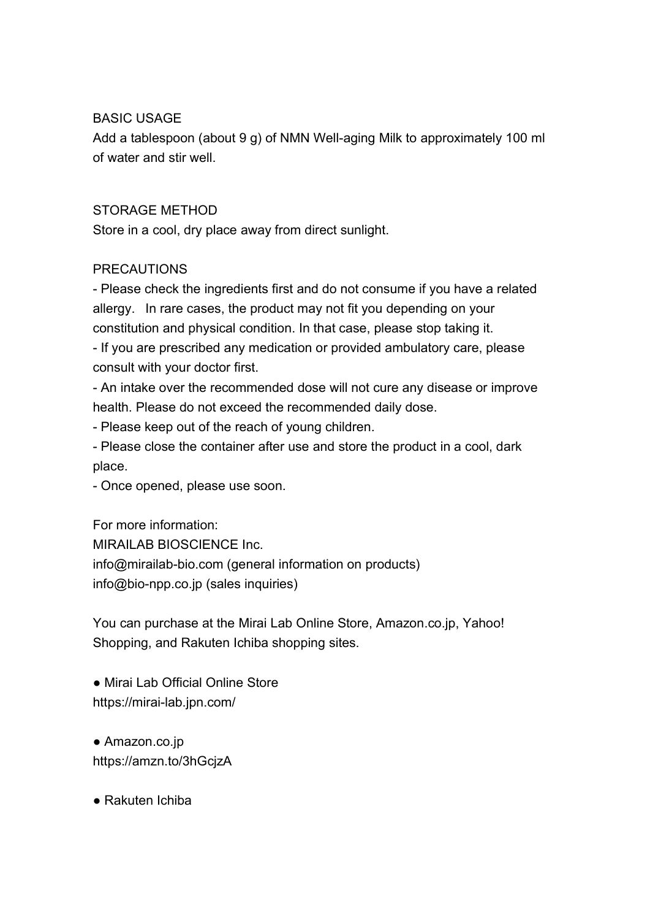## BASIC USAGE

Add a tablespoon (about 9 g) of NMN Well-aging Milk to approximately 100 ml of water and stir well.

## STORAGE METHOD

Store in a cool, dry place away from direct sunlight.

# PRECAUTIONS

- Please check the ingredients first and do not consume if you have a related allergy. In rare cases, the product may not fit you depending on your constitution and physical condition. In that case, please stop taking it.

- If you are prescribed any medication or provided ambulatory care, please consult with your doctor first.

- An intake over the recommended dose will not cure any disease or improve health. Please do not exceed the recommended daily dose.

- Please keep out of the reach of young children.

- Please close the container after use and store the product in a cool, dark place.

- Once opened, please use soon.

For more information: MIRAILAB BIOSCIENCE Inc. info@mirailab-bio.com (general information on products) info@bio-npp.co.jp (sales inquiries)

You can purchase at the Mirai Lab Online Store, Amazon.co.jp, Yahoo! Shopping, and Rakuten Ichiba shopping sites.

● Mirai Lab Official Online Store https://mirai-lab.jpn.com/

● Amazon.co.jp https://amzn.to/3hGcjzA

● Rakuten Ichiba